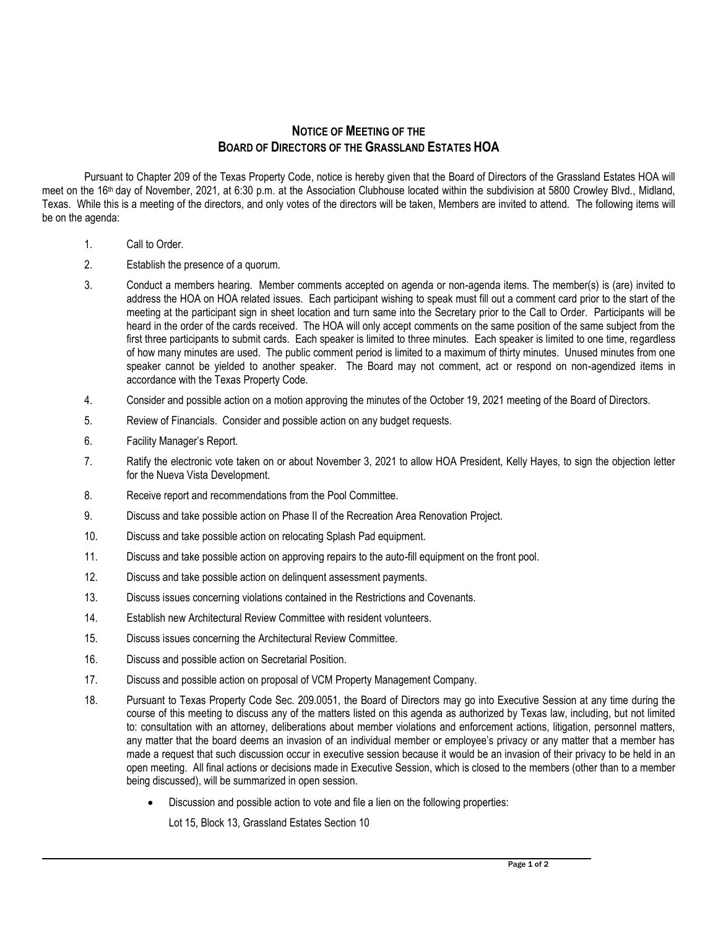## **NOTICE OF MEETING OF THE BOARD OF DIRECTORS OF THE GRASSLAND ESTATES HOA**

Pursuant to Chapter 209 of the Texas Property Code, notice is hereby given that the Board of Directors of the Grassland Estates HOA will meet on the 16<sup>th</sup> day of November, 2021, at 6:30 p.m. at the Association Clubhouse located within the subdivision at 5800 Crowley Blvd., Midland, Texas. While this is a meeting of the directors, and only votes of the directors will be taken, Members are invited to attend. The following items will be on the agenda:

- 1. Call to Order.
- 2. Establish the presence of a quorum.
- 3. Conduct a members hearing. Member comments accepted on agenda or non-agenda items. The member(s) is (are) invited to address the HOA on HOA related issues. Each participant wishing to speak must fill out a comment card prior to the start of the meeting at the participant sign in sheet location and turn same into the Secretary prior to the Call to Order. Participants will be heard in the order of the cards received. The HOA will only accept comments on the same position of the same subject from the first three participants to submit cards. Each speaker is limited to three minutes. Each speaker is limited to one time, regardless of how many minutes are used. The public comment period is limited to a maximum of thirty minutes. Unused minutes from one speaker cannot be yielded to another speaker. The Board may not comment, act or respond on non-agendized items in accordance with the Texas Property Code.
- 4. Consider and possible action on a motion approving the minutes of the October 19, 2021 meeting of the Board of Directors.
- 5. Review of Financials. Consider and possible action on any budget requests.
- 6. Facility Manager's Report.
- 7. Ratify the electronic vote taken on or about November 3, 2021 to allow HOA President, Kelly Hayes, to sign the objection letter for the Nueva Vista Development.
- 8. Receive report and recommendations from the Pool Committee.
- 9. Discuss and take possible action on Phase II of the Recreation Area Renovation Project.
- 10. Discuss and take possible action on relocating Splash Pad equipment.
- 11. Discuss and take possible action on approving repairs to the auto-fill equipment on the front pool.
- 12. Discuss and take possible action on delinquent assessment payments.
- 13. Discuss issues concerning violations contained in the Restrictions and Covenants.
- 14. Establish new Architectural Review Committee with resident volunteers.
- 15. Discuss issues concerning the Architectural Review Committee.
- 16. Discuss and possible action on Secretarial Position.
- 17. Discuss and possible action on proposal of VCM Property Management Company.
- 18. Pursuant to Texas Property Code Sec. 209.0051, the Board of Directors may go into Executive Session at any time during the course of this meeting to discuss any of the matters listed on this agenda as authorized by Texas law, including, but not limited to: consultation with an attorney, deliberations about member violations and enforcement actions, litigation, personnel matters, any matter that the board deems an invasion of an individual member or employee's privacy or any matter that a member has made a request that such discussion occur in executive session because it would be an invasion of their privacy to be held in an open meeting. All final actions or decisions made in Executive Session, which is closed to the members (other than to a member being discussed), will be summarized in open session.
	- Discussion and possible action to vote and file a lien on the following properties:

Lot 15, Block 13, Grassland Estates Section 10